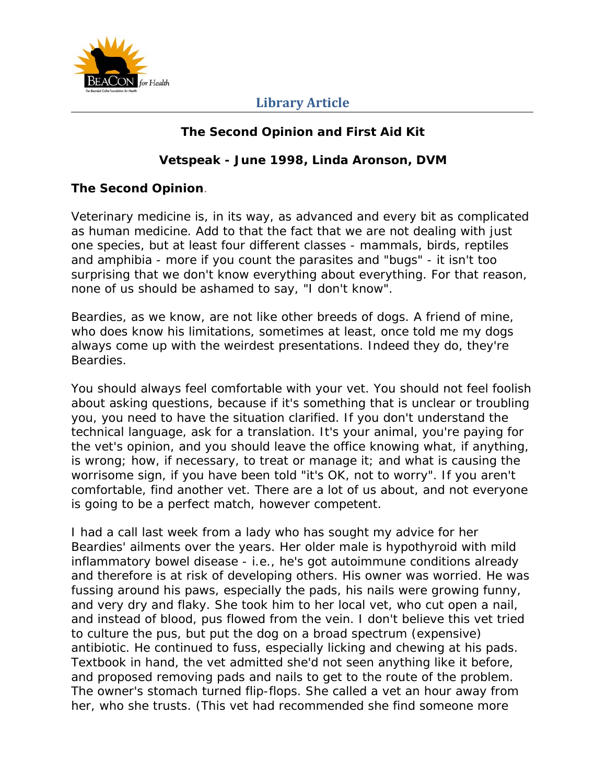

## **Library Article**

## **The Second Opinion and First Aid Kit**

### **Vetspeak - June 1998, Linda Aronson, DVM**

#### **The Second Opinion**.

Veterinary medicine is, in its way, as advanced and every bit as complicated as human medicine. Add to that the fact that we are not dealing with just one species, but at least four different classes - mammals, birds, reptiles and amphibia - more if you count the parasites and "bugs" - it isn't too surprising that we don't know everything about everything. For that reason, none of us should be ashamed to say, "I don't know".

Beardies, as we know, are not like other breeds of dogs. A friend of mine, who does know his limitations, sometimes at least, once told me my dogs always come up with the weirdest presentations. Indeed they do, they're Beardies.

You should always feel comfortable with your vet. You should not feel foolish about asking questions, because if it's something that is unclear or troubling you, you need to have the situation clarified. If you don't understand the technical language, ask for a translation. It's your animal, you're paying for the vet's opinion, and you should leave the office knowing what, if anything, is wrong; how, if necessary, to treat or manage it; and what is causing the worrisome sign, if you have been told "it's OK, not to worry". If you aren't comfortable, find another vet. There are a lot of us about, and not everyone is going to be a perfect match, however competent.

I had a call last week from a lady who has sought my advice for her Beardies' ailments over the years. Her older male is hypothyroid with mild inflammatory bowel disease - i.e., he's got autoimmune conditions already and therefore is at risk of developing others. His owner was worried. He was fussing around his paws, especially the pads, his nails were growing funny, and very dry and flaky. She took him to her local vet, who cut open a nail, and instead of blood, pus flowed from the vein. I don't believe this vet tried to culture the pus, but put the dog on a broad spectrum (expensive) antibiotic. He continued to fuss, especially licking and chewing at his pads. Textbook in hand, the vet admitted she'd not seen anything like it before, and proposed removing pads and nails to get to the route of the problem. The owner's stomach turned flip-flops. She called a vet an hour away from her, who she trusts. (This vet had recommended she find someone more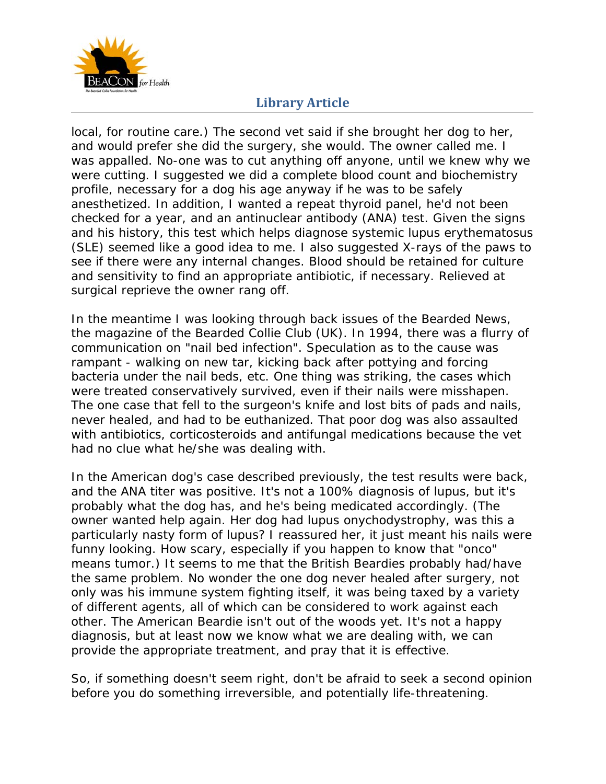

## **Library Article**

local, for routine care.) The second vet said if she brought her dog to her, and would prefer she did the surgery, she would. The owner called me. I was appalled. No-one was to cut anything off anyone, until we knew why we were cutting. I suggested we did a complete blood count and biochemistry profile, necessary for a dog his age anyway if he was to be safely anesthetized. In addition, I wanted a repeat thyroid panel, he'd not been checked for a year, and an antinuclear antibody (ANA) test. Given the signs and his history, this test which helps diagnose systemic lupus erythematosus (SLE) seemed like a good idea to me. I also suggested X-rays of the paws to see if there were any internal changes. Blood should be retained for culture and sensitivity to find an appropriate antibiotic, if necessary. Relieved at surgical reprieve the owner rang off.

In the meantime I was looking through back issues of the Bearded News, the magazine of the Bearded Collie Club (UK). In 1994, there was a flurry of communication on "nail bed infection". Speculation as to the cause was rampant - walking on new tar, kicking back after pottying and forcing bacteria under the nail beds, etc. One thing was striking, the cases which were treated conservatively survived, even if their nails were misshapen. The one case that fell to the surgeon's knife and lost bits of pads and nails, never healed, and had to be euthanized. That poor dog was also assaulted with antibiotics, corticosteroids and antifungal medications because the vet had no clue what he/she was dealing with.

In the American dog's case described previously, the test results were back, and the ANA titer was positive. It's not a 100% diagnosis of lupus, but it's probably what the dog has, and he's being medicated accordingly. (The owner wanted help again. Her dog had lupus onychodystrophy, was this a particularly nasty form of lupus? I reassured her, it just meant his nails were funny looking. How scary, especially if you happen to know that "onco" means tumor.) It seems to me that the British Beardies probably had/have the same problem. No wonder the one dog never healed after surgery, not only was his immune system fighting itself, it was being taxed by a variety of different agents, all of which can be considered to work against each other. The American Beardie isn't out of the woods yet. It's not a happy diagnosis, but at least now we know what we are dealing with, we can provide the appropriate treatment, and pray that it is effective.

So, if something doesn't seem right, don't be afraid to seek a second opinion before you do something irreversible, and potentially life-threatening.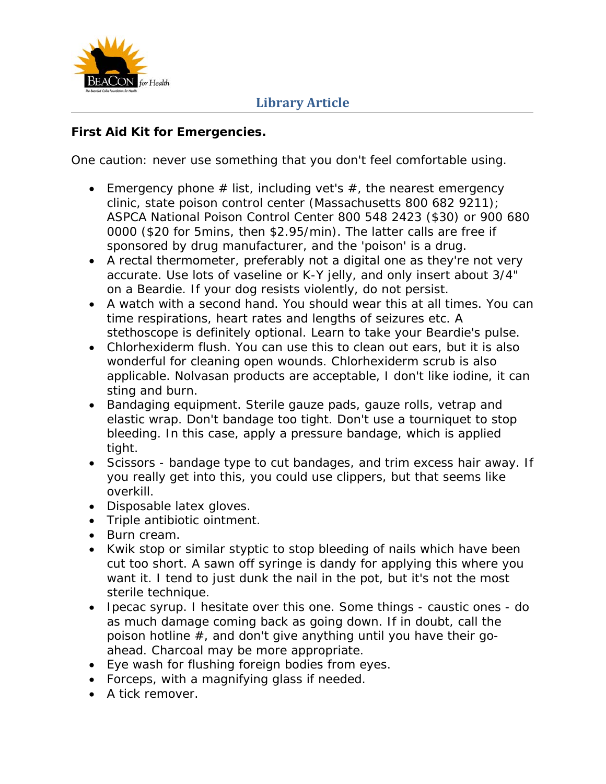

### **First Aid Kit for Emergencies.**

One caution: never use something that you don't feel comfortable using.

- Emergency phone  $#$  list, including vet's  $#$ , the nearest emergency clinic, state poison control center (Massachusetts 800 682 9211); ASPCA National Poison Control Center 800 548 2423 (\$30) or 900 680 0000 (\$20 for 5mins, then \$2.95/min). The latter calls are free if sponsored by drug manufacturer, and the 'poison' is a drug.
- A rectal thermometer, preferably not a digital one as they're not very accurate. Use lots of vaseline or K-Y jelly, and only insert about 3/4" on a Beardie. If your dog resists violently, do not persist.
- A watch with a second hand. You should wear this at all times. You can time respirations, heart rates and lengths of seizures etc. A stethoscope is definitely optional. Learn to take your Beardie's pulse.
- Chlorhexiderm flush. You can use this to clean out ears, but it is also wonderful for cleaning open wounds. Chlorhexiderm scrub is also applicable. Nolvasan products are acceptable, I don't like iodine, it can sting and burn.
- Bandaging equipment. Sterile gauze pads, gauze rolls, vetrap and elastic wrap. Don't bandage too tight. Don't use a tourniquet to stop bleeding. In this case, apply a pressure bandage, which is applied tight.
- Scissors bandage type to cut bandages, and trim excess hair away. If you really get into this, you could use clippers, but that seems like overkill.
- Disposable latex gloves.
- Triple antibiotic ointment.
- Burn cream.
- Kwik stop or similar styptic to stop bleeding of nails which have been cut too short. A sawn off syringe is dandy for applying this where you want it. I tend to just dunk the nail in the pot, but it's not the most sterile technique.
- Ipecac syrup. I hesitate over this one. Some things caustic ones do as much damage coming back as going down. If in doubt, call the poison hotline #, and don't give anything until you have their goahead. Charcoal may be more appropriate.
- Eye wash for flushing foreign bodies from eyes.
- Forceps, with a magnifying glass if needed.
- A tick remover.